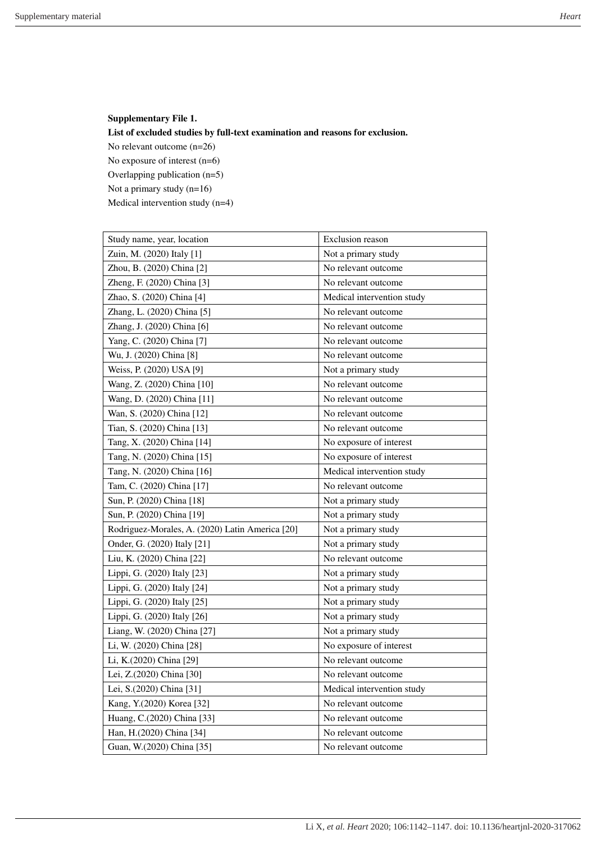## **Supplementary File 1. List of excluded studies by full-text examination and reasons for exclusion.**  No relevant outcome (n=26) No exposure of interest (n=6) Overlapping publication (n=5) Not a primary study (n=16) Medical intervention study (n=4)

| Study name, year, location                      | <b>Exclusion</b> reason    |
|-------------------------------------------------|----------------------------|
| Zuin, M. (2020) Italy [1]                       | Not a primary study        |
| Zhou, B. (2020) China [2]                       | No relevant outcome        |
| Zheng, F. (2020) China [3]                      | No relevant outcome        |
| Zhao, S. (2020) China [4]                       | Medical intervention study |
| Zhang, L. (2020) China [5]                      | No relevant outcome        |
| Zhang, J. (2020) China [6]                      | No relevant outcome        |
| Yang, C. (2020) China [7]                       | No relevant outcome        |
| Wu, J. (2020) China [8]                         | No relevant outcome        |
| Weiss, P. (2020) USA [9]                        | Not a primary study        |
| Wang, Z. (2020) China [10]                      | No relevant outcome        |
| Wang, D. (2020) China [11]                      | No relevant outcome        |
| Wan, S. (2020) China [12]                       | No relevant outcome        |
| Tian, S. (2020) China [13]                      | No relevant outcome        |
| Tang, X. (2020) China [14]                      | No exposure of interest    |
| Tang, N. (2020) China [15]                      | No exposure of interest    |
| Tang, N. (2020) China [16]                      | Medical intervention study |
| Tam, C. (2020) China [17]                       | No relevant outcome        |
| Sun, P. (2020) China [18]                       | Not a primary study        |
| Sun, P. (2020) China [19]                       | Not a primary study        |
| Rodriguez-Morales, A. (2020) Latin America [20] | Not a primary study        |
| Onder, G. (2020) Italy [21]                     | Not a primary study        |
| Liu, K. (2020) China [22]                       | No relevant outcome        |
| Lippi, G. (2020) Italy [23]                     | Not a primary study        |
| Lippi, G. (2020) Italy [24]                     | Not a primary study        |
| Lippi, G. (2020) Italy [25]                     | Not a primary study        |
| Lippi, G. (2020) Italy [26]                     | Not a primary study        |
| Liang, W. (2020) China [27]                     | Not a primary study        |
| Li, W. (2020) China [28]                        | No exposure of interest    |
| Li, K.(2020) China [29]                         | No relevant outcome        |
| Lei, Z.(2020) China [30]                        | No relevant outcome        |
| Lei, S.(2020) China [31]                        | Medical intervention study |
| Kang, Y.(2020) Korea [32]                       | No relevant outcome        |
| Huang, C.(2020) China [33]                      | No relevant outcome        |
| Han, H.(2020) China [34]                        | No relevant outcome        |
| Guan, W.(2020) China [35]                       | No relevant outcome        |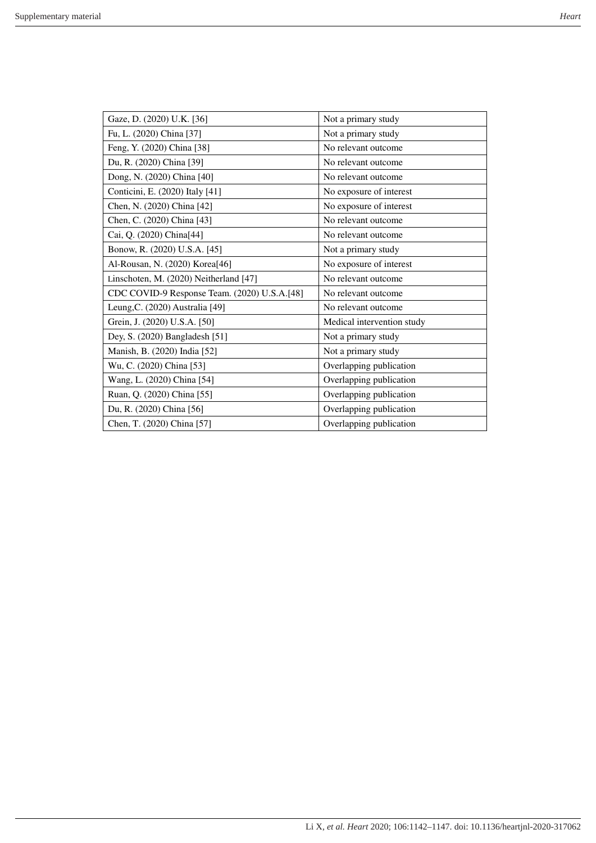| Gaze, D. (2020) U.K. [36]                    | Not a primary study        |
|----------------------------------------------|----------------------------|
| Fu, L. (2020) China [37]                     | Not a primary study        |
| Feng, Y. (2020) China [38]                   | No relevant outcome        |
| Du, R. (2020) China [39]                     | No relevant outcome        |
| Dong, N. (2020) China [40]                   | No relevant outcome        |
| Conticini, E. (2020) Italy [41]              | No exposure of interest    |
| Chen, N. (2020) China [42]                   | No exposure of interest    |
| Chen, C. (2020) China [43]                   | No relevant outcome        |
| Cai, Q. (2020) China[44]                     | No relevant outcome        |
| Bonow, R. (2020) U.S.A. [45]                 | Not a primary study        |
| Al-Rousan, N. (2020) Korea[46]               | No exposure of interest    |
| Linschoten, M. (2020) Neitherland [47]       | No relevant outcome        |
| CDC COVID-9 Response Team. (2020) U.S.A.[48] | No relevant outcome        |
| Leung, C. (2020) Australia [49]              | No relevant outcome        |
| Grein, J. (2020) U.S.A. [50]                 | Medical intervention study |
| Dey, S. (2020) Bangladesh [51]               | Not a primary study        |
| Manish, B. (2020) India [52]                 | Not a primary study        |
| Wu, C. (2020) China [53]                     | Overlapping publication    |
| Wang, L. (2020) China [54]                   | Overlapping publication    |
| Ruan, Q. (2020) China [55]                   | Overlapping publication    |
| Du, R. (2020) China [56]                     | Overlapping publication    |
| Chen, T. (2020) China [57]                   | Overlapping publication    |
|                                              |                            |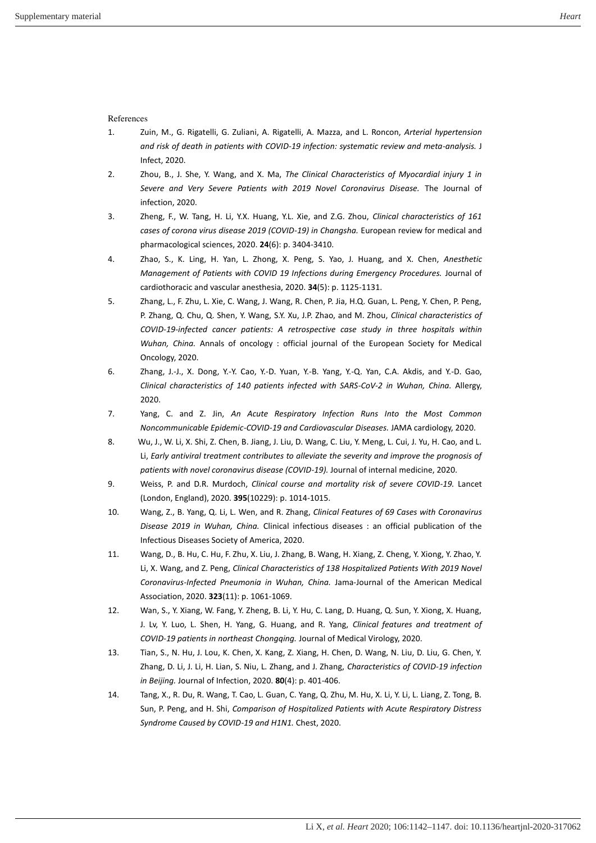<span id="page-2-0"></span>References

- <span id="page-2-1"></span>1. Zuin, M., G. Rigatelli, G. Zuliani, A. Rigatelli, A. Mazza, and L. Roncon, *Arterial hypertension and risk of death in patients with COVID-19 infection: systematic review and meta-analysis.* J Infect, 2020.
- <span id="page-2-2"></span>2. Zhou, B., J. She, Y. Wang, and X. Ma, *The Clinical Characteristics of Myocardial injury 1 in Severe and Very Severe Patients with 2019 Novel Coronavirus Disease.* The Journal of infection, 2020.
- <span id="page-2-3"></span>3. Zheng, F., W. Tang, H. Li, Y.X. Huang, Y.L. Xie, and Z.G. Zhou, *Clinical characteristics of 161 cases of corona virus disease 2019 (COVID-19) in Changsha.* European review for medical and pharmacological sciences, 2020. **24**(6): p. 3404-3410.
- 4. Zhao, S., K. Ling, H. Yan, L. Zhong, X. Peng, S. Yao, J. Huang, and X. Chen, *Anesthetic Management of Patients with COVID 19 Infections during Emergency Procedures.* Journal of cardiothoracic and vascular anesthesia, 2020. **34**(5): p. 1125-1131.
- <span id="page-2-4"></span>5. Zhang, L., F. Zhu, L. Xie, C. Wang, J. Wang, R. Chen, P. Jia, H.Q. Guan, L. Peng, Y. Chen, P. Peng, P. Zhang, Q. Chu, Q. Shen, Y. Wang, S.Y. Xu, J.P. Zhao, and M. Zhou, *Clinical characteristics of COVID-19-infected cancer patients: A retrospective case study in three hospitals within Wuhan, China.* Annals of oncology : official journal of the European Society for Medical Oncology, 2020.
- <span id="page-2-5"></span>6. Zhang, J.-J., X. Dong, Y.-Y. Cao, Y.-D. Yuan, Y.-B. Yang, Y.-Q. Yan, C.A. Akdis, and Y.-D. Gao, *Clinical characteristics of 140 patients infected with SARS-CoV-2 in Wuhan, China.* Allergy, 2020.
- <span id="page-2-6"></span>7. Yang, C. and Z. Jin, *An Acute Respiratory Infection Runs Into the Most Common Noncommunicable Epidemic-COVID-19 and Cardiovascular Diseases.* JAMA cardiology, 2020.
- <span id="page-2-7"></span>8. Wu, J., W. Li, X. Shi, Z. Chen, B. Jiang, J. Liu, D. Wang, C. Liu, Y. Meng, L. Cui, J. Yu, H. Cao, and L. Li, *Early antiviral treatment contributes to alleviate the severity and improve the prognosis of patients with novel coronavirus disease (COVID-19).* Journal of internal medicine, 2020.
- <span id="page-2-8"></span>9. Weiss, P. and D.R. Murdoch, *Clinical course and mortality risk of severe COVID-19.* Lancet (London, England), 2020. **395**(10229): p. 1014-1015.
- <span id="page-2-9"></span>10. Wang, Z., B. Yang, Q. Li, L. Wen, and R. Zhang, *Clinical Features of 69 Cases with Coronavirus Disease 2019 in Wuhan, China.* Clinical infectious diseases : an official publication of the Infectious Diseases Society of America, 2020.
- <span id="page-2-10"></span>11. Wang, D., B. Hu, C. Hu, F. Zhu, X. Liu, J. Zhang, B. Wang, H. Xiang, Z. Cheng, Y. Xiong, Y. Zhao, Y. Li, X. Wang, and Z. Peng, *Clinical Characteristics of 138 Hospitalized Patients With 2019 Novel Coronavirus-Infected Pneumonia in Wuhan, China.* Jama-Journal of the American Medical Association, 2020. **323**(11): p. 1061-1069.
- <span id="page-2-11"></span>12. Wan, S., Y. Xiang, W. Fang, Y. Zheng, B. Li, Y. Hu, C. Lang, D. Huang, Q. Sun, Y. Xiong, X. Huang, J. Lv, Y. Luo, L. Shen, H. Yang, G. Huang, and R. Yang, *Clinical features and treatment of COVID-19 patients in northeast Chongqing.* Journal of Medical Virology, 2020.
- <span id="page-2-12"></span>13. Tian, S., N. Hu, J. Lou, K. Chen, X. Kang, Z. Xiang, H. Chen, D. Wang, N. Liu, D. Liu, G. Chen, Y. Zhang, D. Li, J. Li, H. Lian, S. Niu, L. Zhang, and J. Zhang, *Characteristics of COVID-19 infection in Beijing.* Journal of Infection, 2020. **80**(4): p. 401-406.
- <span id="page-2-13"></span>14. Tang, X., R. Du, R. Wang, T. Cao, L. Guan, C. Yang, Q. Zhu, M. Hu, X. Li, Y. Li, L. Liang, Z. Tong, B. Sun, P. Peng, and H. Shi, *Comparison of Hospitalized Patients with Acute Respiratory Distress Syndrome Caused by COVID-19 and H1N1.* Chest, 2020.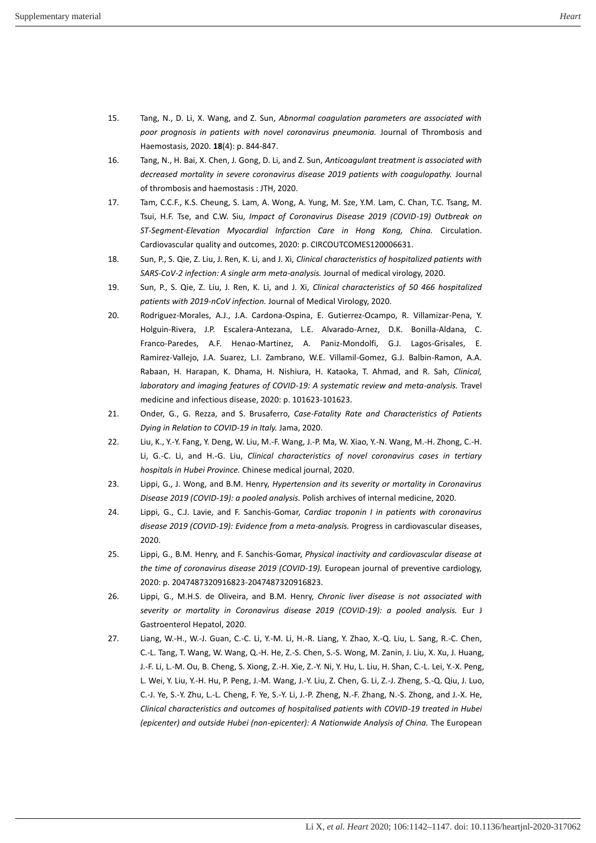- <span id="page-3-1"></span><span id="page-3-0"></span>15. Tang, N., D. Li, X. Wang, and Z. Sun, *Abnormal coagulation parameters are associated with poor prognosis in patients with novel coronavirus pneumonia.* Journal of Thrombosis and Haemostasis, 2020. **18**(4): p. 844-847.
- <span id="page-3-2"></span>16. Tang, N., H. Bai, X. Chen, J. Gong, D. Li, and Z. Sun, *Anticoagulant treatment is associated with decreased mortality in severe coronavirus disease 2019 patients with coagulopathy.* Journal of thrombosis and haemostasis : JTH, 2020.
- 17. Tam, C.C.F., K.S. Cheung, S. Lam, A. Wong, A. Yung, M. Sze, Y.M. Lam, C. Chan, T.C. Tsang, M. Tsui, H.F. Tse, and C.W. Siu, *Impact of Coronavirus Disease 2019 (COVID-19) Outbreak on ST-Segment-Elevation Myocardial Infarction Care in Hong Kong, China.* Circulation. Cardiovascular quality and outcomes, 2020: p. CIRCOUTCOMES120006631.
- <span id="page-3-4"></span><span id="page-3-3"></span>18. Sun, P., S. Qie, Z. Liu, J. Ren, K. Li, and J. Xi, *Clinical characteristics of hospitalized patients with SARS-CoV-2 infection: A single arm meta-analysis.* Journal of medical virology, 2020.
- <span id="page-3-5"></span>19. Sun, P., S. Qie, Z. Liu, J. Ren, K. Li, and J. Xi, *Clinical characteristics of 50 466 hospitalized patients with 2019-nCoV infection.* Journal of Medical Virology, 2020.
- 20. Rodriguez-Morales, A.J., J.A. Cardona-Ospina, E. Gutierrez-Ocampo, R. Villamizar-Pena, Y. Holguin-Rivera, J.P. Escalera-Antezana, L.E. Alvarado-Arnez, D.K. Bonilla-Aldana, C. Franco-Paredes, A.F. Henao-Martinez, A. Paniz-Mondolfi, G.J. Lagos-Grisales, E. Ramirez-Vallejo, J.A. Suarez, L.I. Zambrano, W.E. Villamil-Gomez, G.J. Balbin-Ramon, A.A. Rabaan, H. Harapan, K. Dhama, H. Nishiura, H. Kataoka, T. Ahmad, and R. Sah, *Clinical, laboratory and imaging features of COVID-19: A systematic review and meta-analysis.* Travel medicine and infectious disease, 2020: p. 101623-101623.
- <span id="page-3-6"></span>21. Onder, G., G. Rezza, and S. Brusaferro, *Case-Fatality Rate and Characteristics of Patients Dying in Relation to COVID-19 in Italy.* Jama, 2020.
- <span id="page-3-7"></span>22. Liu, K., Y.-Y. Fang, Y. Deng, W. Liu, M.-F. Wang, J.-P. Ma, W. Xiao, Y.-N. Wang, M.-H. Zhong, C.-H. Li, G.-C. Li, and H.-G. Liu, *Clinical characteristics of novel coronavirus cases in tertiary hospitals in Hubei Province.* Chinese medical journal, 2020.
- <span id="page-3-8"></span>23. Lippi, G., J. Wong, and B.M. Henry, *Hypertension and its severity or mortality in Coronavirus Disease 2019 (COVID-19): a pooled analysis.* Polish archives of internal medicine, 2020.
- <span id="page-3-9"></span>24. Lippi, G., C.J. Lavie, and F. Sanchis-Gomar, *Cardiac troponin I in patients with coronavirus disease 2019 (COVID-19): Evidence from a meta-analysis.* Progress in cardiovascular diseases, 2020.
- <span id="page-3-10"></span>25. Lippi, G., B.M. Henry, and F. Sanchis-Gomar, *Physical inactivity and cardiovascular disease at the time of coronavirus disease 2019 (COVID-19).* European journal of preventive cardiology, 2020: p. 2047487320916823-2047487320916823.
- <span id="page-3-11"></span>26. Lippi, G., M.H.S. de Oliveira, and B.M. Henry, *Chronic liver disease is not associated with severity or mortality in Coronavirus disease 2019 (COVID-19): a pooled analysis.* Eur J Gastroenterol Hepatol, 2020.
- <span id="page-3-12"></span>27. Liang, W.-H., W.-J. Guan, C.-C. Li, Y.-M. Li, H.-R. Liang, Y. Zhao, X.-Q. Liu, L. Sang, R.-C. Chen, C.-L. Tang, T. Wang, W. Wang, Q.-H. He, Z.-S. Chen, S.-S. Wong, M. Zanin, J. Liu, X. Xu, J. Huang, J.-F. Li, L.-M. Ou, B. Cheng, S. Xiong, Z.-H. Xie, Z.-Y. Ni, Y. Hu, L. Liu, H. Shan, C.-L. Lei, Y.-X. Peng, L. Wei, Y. Liu, Y.-H. Hu, P. Peng, J.-M. Wang, J.-Y. Liu, Z. Chen, G. Li, Z.-J. Zheng, S.-Q. Qiu, J. Luo, C.-J. Ye, S.-Y. Zhu, L.-L. Cheng, F. Ye, S.-Y. Li, J.-P. Zheng, N.-F. Zhang, N.-S. Zhong, and J.-X. He, *Clinical characteristics and outcomes of hospitalised patients with COVID-19 treated in Hubei (epicenter) and outside Hubei (non-epicenter): A Nationwide Analysis of China.* The European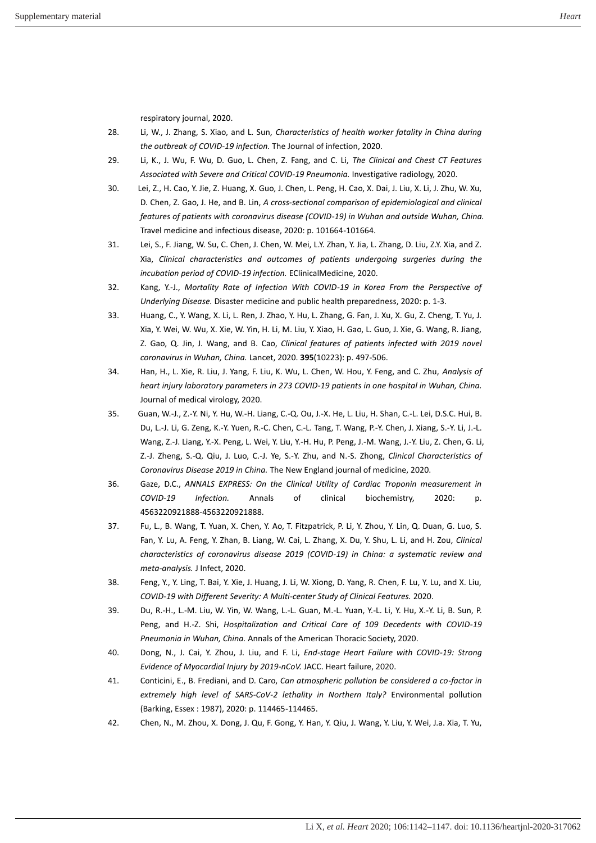respiratory journal, 2020.

- <span id="page-4-1"></span><span id="page-4-0"></span>28. Li, W., J. Zhang, S. Xiao, and L. Sun, *Characteristics of health worker fatality in China during the outbreak of COVID-19 infection.* The Journal of infection, 2020.
- <span id="page-4-2"></span>29. Li, K., J. Wu, F. Wu, D. Guo, L. Chen, Z. Fang, and C. Li, *The Clinical and Chest CT Features Associated with Severe and Critical COVID-19 Pneumonia.* Investigative radiology, 2020.
- 30. Lei, Z., H. Cao, Y. Jie, Z. Huang, X. Guo, J. Chen, L. Peng, H. Cao, X. Dai, J. Liu, X. Li, J. Zhu, W. Xu, D. Chen, Z. Gao, J. He, and B. Lin, *A cross-sectional comparison of epidemiological and clinical features of patients with coronavirus disease (COVID-19) in Wuhan and outside Wuhan, China.* Travel medicine and infectious disease, 2020: p. 101664-101664.
- <span id="page-4-4"></span><span id="page-4-3"></span>31. Lei, S., F. Jiang, W. Su, C. Chen, J. Chen, W. Mei, L.Y. Zhan, Y. Jia, L. Zhang, D. Liu, Z.Y. Xia, and Z. Xia, *Clinical characteristics and outcomes of patients undergoing surgeries during the incubation period of COVID-19 infection.* EClinicalMedicine, 2020.
- <span id="page-4-5"></span>32. Kang, Y.-J., *Mortality Rate of Infection With COVID-19 in Korea From the Perspective of Underlying Disease.* Disaster medicine and public health preparedness, 2020: p. 1-3.
- 33. Huang, C., Y. Wang, X. Li, L. Ren, J. Zhao, Y. Hu, L. Zhang, G. Fan, J. Xu, X. Gu, Z. Cheng, T. Yu, J. Xia, Y. Wei, W. Wu, X. Xie, W. Yin, H. Li, M. Liu, Y. Xiao, H. Gao, L. Guo, J. Xie, G. Wang, R. Jiang, Z. Gao, Q. Jin, J. Wang, and B. Cao, *Clinical features of patients infected with 2019 novel coronavirus in Wuhan, China.* Lancet, 2020. **395**(10223): p. 497-506.
- <span id="page-4-6"></span>34. Han, H., L. Xie, R. Liu, J. Yang, F. Liu, K. Wu, L. Chen, W. Hou, Y. Feng, and C. Zhu, *Analysis of heart injury laboratory parameters in 273 COVID-19 patients in one hospital in Wuhan, China.* Journal of medical virology, 2020.
- <span id="page-4-7"></span>35. Guan, W.-J., Z.-Y. Ni, Y. Hu, W.-H. Liang, C.-Q. Ou, J.-X. He, L. Liu, H. Shan, C.-L. Lei, D.S.C. Hui, B. Du, L.-J. Li, G. Zeng, K.-Y. Yuen, R.-C. Chen, C.-L. Tang, T. Wang, P.-Y. Chen, J. Xiang, S.-Y. Li, J.-L. Wang, Z.-J. Liang, Y.-X. Peng, L. Wei, Y. Liu, Y.-H. Hu, P. Peng, J.-M. Wang, J.-Y. Liu, Z. Chen, G. Li, Z.-J. Zheng, S.-Q. Qiu, J. Luo, C.-J. Ye, S.-Y. Zhu, and N.-S. Zhong, *Clinical Characteristics of Coronavirus Disease 2019 in China.* The New England journal of medicine, 2020.
- <span id="page-4-8"></span>36. Gaze, D.C., *ANNALS EXPRESS: On the Clinical Utility of Cardiac Troponin measurement in COVID-19 Infection.* Annals of clinical biochemistry, 2020: p. 4563220921888-4563220921888.
- <span id="page-4-9"></span>37. Fu, L., B. Wang, T. Yuan, X. Chen, Y. Ao, T. Fitzpatrick, P. Li, Y. Zhou, Y. Lin, Q. Duan, G. Luo, S. Fan, Y. Lu, A. Feng, Y. Zhan, B. Liang, W. Cai, L. Zhang, X. Du, Y. Shu, L. Li, and H. Zou, *Clinical characteristics of coronavirus disease 2019 (COVID-19) in China: a systematic review and meta-analysis.* J Infect, 2020.
- <span id="page-4-10"></span>38. Feng, Y., Y. Ling, T. Bai, Y. Xie, J. Huang, J. Li, W. Xiong, D. Yang, R. Chen, F. Lu, Y. Lu, and X. Liu, *COVID-19 with Different Severity: A Multi-center Study of Clinical Features.* 2020.
- <span id="page-4-11"></span>39. Du, R.-H., L.-M. Liu, W. Yin, W. Wang, L.-L. Guan, M.-L. Yuan, Y.-L. Li, Y. Hu, X.-Y. Li, B. Sun, P. Peng, and H.-Z. Shi, *Hospitalization and Critical Care of 109 Decedents with COVID-19 Pneumonia in Wuhan, China.* Annals of the American Thoracic Society, 2020.
- 40. Dong, N., J. Cai, Y. Zhou, J. Liu, and F. Li, *End-stage Heart Failure with COVID-19: Strong Evidence of Myocardial Injury by 2019-nCoV.* JACC. Heart failure, 2020.
- <span id="page-4-12"></span>41. Conticini, E., B. Frediani, and D. Caro, *Can atmospheric pollution be considered a co-factor in extremely high level of SARS-CoV-2 lethality in Northern Italy?* Environmental pollution (Barking, Essex : 1987), 2020: p. 114465-114465.
- <span id="page-4-14"></span><span id="page-4-13"></span>42. Chen, N., M. Zhou, X. Dong, J. Qu, F. Gong, Y. Han, Y. Qiu, J. Wang, Y. Liu, Y. Wei, J.a. Xia, T. Yu,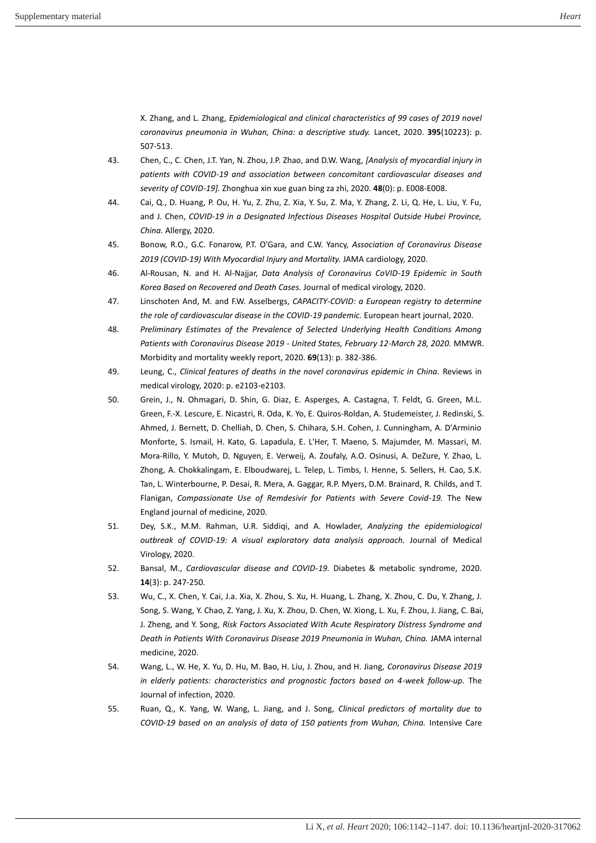X. Zhang, and L. Zhang, *Epidemiological and clinical characteristics of 99 cases of 2019 novel coronavirus pneumonia in Wuhan, China: a descriptive study.* Lancet, 2020. **395**(10223): p. 507-513.

- <span id="page-5-1"></span><span id="page-5-0"></span>43. Chen, C., C. Chen, J.T. Yan, N. Zhou, J.P. Zhao, and D.W. Wang, *[Analysis of myocardial injury in patients with COVID-19 and association between concomitant cardiovascular diseases and severity of COVID-19].* Zhonghua xin xue guan bing za zhi, 2020. **48**(0): p. E008-E008.
- <span id="page-5-2"></span>44. Cai, Q., D. Huang, P. Ou, H. Yu, Z. Zhu, Z. Xia, Y. Su, Z. Ma, Y. Zhang, Z. Li, Q. He, L. Liu, Y. Fu, and J. Chen, *COVID-19 in a Designated Infectious Diseases Hospital Outside Hubei Province, China.* Allergy, 2020.
- <span id="page-5-3"></span>45. Bonow, R.O., G.C. Fonarow, P.T. O'Gara, and C.W. Yancy, *Association of Coronavirus Disease 2019 (COVID-19) With Myocardial Injury and Mortality.* JAMA cardiology, 2020.
- <span id="page-5-4"></span>46. Al-Rousan, N. and H. Al-Najjar, *Data Analysis of Coronavirus CoVID-19 Epidemic in South Korea Based on Recovered and Death Cases.* Journal of medical virology, 2020.
- <span id="page-5-5"></span>47. Linschoten And, M. and F.W. Asselbergs, *CAPACITY-COVID: a European registry to determine the role of cardiovascular disease in the COVID-19 pandemic.* European heart journal, 2020.
- 48. *Preliminary Estimates of the Prevalence of Selected Underlying Health Conditions Among Patients with Coronavirus Disease 2019 - United States, February 12-March 28, 2020.* MMWR. Morbidity and mortality weekly report, 2020. **69**(13): p. 382-386.
- <span id="page-5-6"></span>49. Leung, C., *Clinical features of deaths in the novel coronavirus epidemic in China.* Reviews in medical virology, 2020: p. e2103-e2103.
- <span id="page-5-7"></span>50. Grein, J., N. Ohmagari, D. Shin, G. Diaz, E. Asperges, A. Castagna, T. Feldt, G. Green, M.L. Green, F.-X. Lescure, E. Nicastri, R. Oda, K. Yo, E. Quiros-Roldan, A. Studemeister, J. Redinski, S. Ahmed, J. Bernett, D. Chelliah, D. Chen, S. Chihara, S.H. Cohen, J. Cunningham, A. D'Arminio Monforte, S. Ismail, H. Kato, G. Lapadula, E. L'Her, T. Maeno, S. Majumder, M. Massari, M. Mora-Rillo, Y. Mutoh, D. Nguyen, E. Verweij, A. Zoufaly, A.O. Osinusi, A. DeZure, Y. Zhao, L. Zhong, A. Chokkalingam, E. Elboudwarej, L. Telep, L. Timbs, I. Henne, S. Sellers, H. Cao, S.K. Tan, L. Winterbourne, P. Desai, R. Mera, A. Gaggar, R.P. Myers, D.M. Brainard, R. Childs, and T. Flanigan, *Compassionate Use of Remdesivir for Patients with Severe Covid-19.* The New England journal of medicine, 2020.
- <span id="page-5-8"></span>51. Dey, S.K., M.M. Rahman, U.R. Siddiqi, and A. Howlader, *Analyzing the epidemiological outbreak of COVID-19: A visual exploratory data analysis approach.* Journal of Medical Virology, 2020.
- <span id="page-5-9"></span>52. Bansal, M., *Cardiovascular disease and COVID-19.* Diabetes & metabolic syndrome, 2020. **14**(3): p. 247-250.
- <span id="page-5-10"></span>53. Wu, C., X. Chen, Y. Cai, J.a. Xia, X. Zhou, S. Xu, H. Huang, L. Zhang, X. Zhou, C. Du, Y. Zhang, J. Song, S. Wang, Y. Chao, Z. Yang, J. Xu, X. Zhou, D. Chen, W. Xiong, L. Xu, F. Zhou, J. Jiang, C. Bai, J. Zheng, and Y. Song, *Risk Factors Associated With Acute Respiratory Distress Syndrome and Death in Patients With Coronavirus Disease 2019 Pneumonia in Wuhan, China.* JAMA internal medicine, 2020.
- <span id="page-5-11"></span>54. Wang, L., W. He, X. Yu, D. Hu, M. Bao, H. Liu, J. Zhou, and H. Jiang, *Coronavirus Disease 2019 in elderly patients: characteristics and prognostic factors based on 4-week follow-up.* The Journal of infection, 2020.
- <span id="page-5-12"></span>55. Ruan, Q., K. Yang, W. Wang, L. Jiang, and J. Song, *Clinical predictors of mortality due to COVID-19 based on an analysis of data of 150 patients from Wuhan, China.* Intensive Care